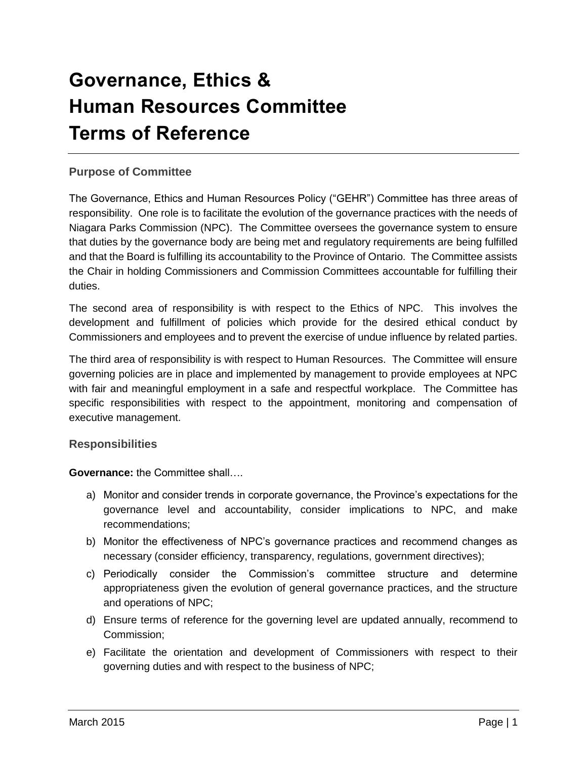# **Governance, Ethics & Human Resources Committee Terms of Reference**

# **Purpose of Committee**

The Governance, Ethics and Human Resources Policy ("GEHR") Committee has three areas of responsibility. One role is to facilitate the evolution of the governance practices with the needs of Niagara Parks Commission (NPC). The Committee oversees the governance system to ensure that duties by the governance body are being met and regulatory requirements are being fulfilled and that the Board is fulfilling its accountability to the Province of Ontario. The Committee assists the Chair in holding Commissioners and Commission Committees accountable for fulfilling their duties.

The second area of responsibility is with respect to the Ethics of NPC. This involves the development and fulfillment of policies which provide for the desired ethical conduct by Commissioners and employees and to prevent the exercise of undue influence by related parties.

The third area of responsibility is with respect to Human Resources. The Committee will ensure governing policies are in place and implemented by management to provide employees at NPC with fair and meaningful employment in a safe and respectful workplace. The Committee has specific responsibilities with respect to the appointment, monitoring and compensation of executive management.

#### **Responsibilities**

**Governance:** the Committee shall….

- a) Monitor and consider trends in corporate governance, the Province's expectations for the governance level and accountability, consider implications to NPC, and make recommendations;
- b) Monitor the effectiveness of NPC's governance practices and recommend changes as necessary (consider efficiency, transparency, regulations, government directives);
- c) Periodically consider the Commission's committee structure and determine appropriateness given the evolution of general governance practices, and the structure and operations of NPC;
- d) Ensure terms of reference for the governing level are updated annually, recommend to Commission;
- e) Facilitate the orientation and development of Commissioners with respect to their governing duties and with respect to the business of NPC;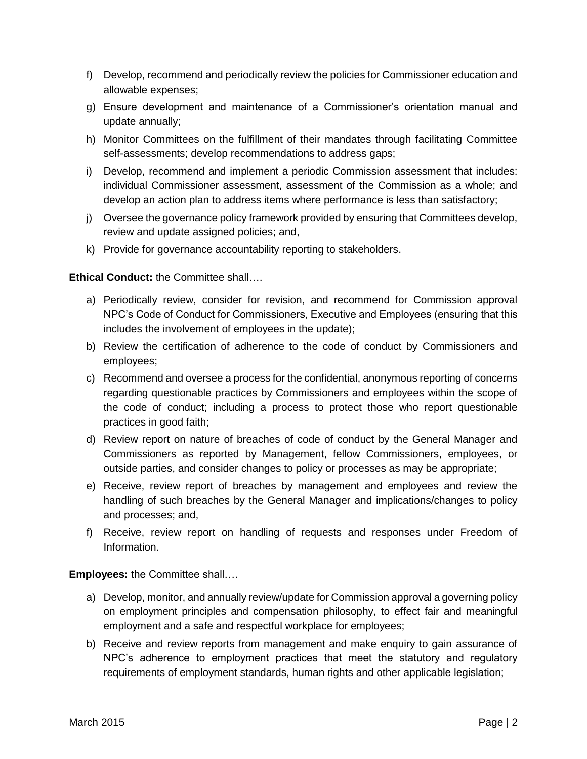- f) Develop, recommend and periodically review the policies for Commissioner education and allowable expenses;
- g) Ensure development and maintenance of a Commissioner's orientation manual and update annually;
- h) Monitor Committees on the fulfillment of their mandates through facilitating Committee self-assessments; develop recommendations to address gaps;
- i) Develop, recommend and implement a periodic Commission assessment that includes: individual Commissioner assessment, assessment of the Commission as a whole; and develop an action plan to address items where performance is less than satisfactory;
- j) Oversee the governance policy framework provided by ensuring that Committees develop, review and update assigned policies; and,
- k) Provide for governance accountability reporting to stakeholders.

#### **Ethical Conduct:** the Committee shall….

- a) Periodically review, consider for revision, and recommend for Commission approval NPC's Code of Conduct for Commissioners, Executive and Employees (ensuring that this includes the involvement of employees in the update);
- b) Review the certification of adherence to the code of conduct by Commissioners and employees;
- c) Recommend and oversee a process for the confidential, anonymous reporting of concerns regarding questionable practices by Commissioners and employees within the scope of the code of conduct; including a process to protect those who report questionable practices in good faith;
- d) Review report on nature of breaches of code of conduct by the General Manager and Commissioners as reported by Management, fellow Commissioners, employees, or outside parties, and consider changes to policy or processes as may be appropriate;
- e) Receive, review report of breaches by management and employees and review the handling of such breaches by the General Manager and implications/changes to policy and processes; and,
- f) Receive, review report on handling of requests and responses under Freedom of Information.

**Employees:** the Committee shall….

- a) Develop, monitor, and annually review/update for Commission approval a governing policy on employment principles and compensation philosophy, to effect fair and meaningful employment and a safe and respectful workplace for employees;
- b) Receive and review reports from management and make enquiry to gain assurance of NPC's adherence to employment practices that meet the statutory and regulatory requirements of employment standards, human rights and other applicable legislation;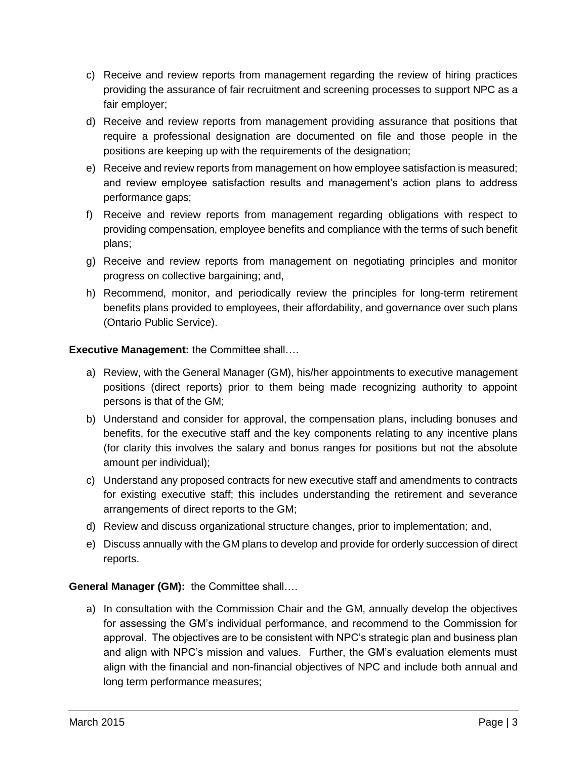- c) Receive and review reports from management regarding the review of hiring practices providing the assurance of fair recruitment and screening processes to support NPC as a fair employer;
- d) Receive and review reports from management providing assurance that positions that require a professional designation are documented on file and those people in the positions are keeping up with the requirements of the designation;
- e) Receive and review reports from management on how employee satisfaction is measured; and review employee satisfaction results and management's action plans to address performance gaps;
- f) Receive and review reports from management regarding obligations with respect to providing compensation, employee benefits and compliance with the terms of such benefit plans;
- g) Receive and review reports from management on negotiating principles and monitor progress on collective bargaining; and,
- h) Recommend, monitor, and periodically review the principles for long-term retirement benefits plans provided to employees, their affordability, and governance over such plans (Ontario Public Service).

## **Executive Management:** the Committee shall….

- a) Review, with the General Manager (GM), his/her appointments to executive management positions (direct reports) prior to them being made recognizing authority to appoint persons is that of the GM;
- b) Understand and consider for approval, the compensation plans, including bonuses and benefits, for the executive staff and the key components relating to any incentive plans (for clarity this involves the salary and bonus ranges for positions but not the absolute amount per individual);
- c) Understand any proposed contracts for new executive staff and amendments to contracts for existing executive staff; this includes understanding the retirement and severance arrangements of direct reports to the GM;
- d) Review and discuss organizational structure changes, prior to implementation; and,
- e) Discuss annually with the GM plans to develop and provide for orderly succession of direct reports.

## **General Manager (GM):** the Committee shall….

a) In consultation with the Commission Chair and the GM, annually develop the objectives for assessing the GM's individual performance, and recommend to the Commission for approval. The objectives are to be consistent with NPC's strategic plan and business plan and align with NPC's mission and values. Further, the GM's evaluation elements must align with the financial and non-financial objectives of NPC and include both annual and long term performance measures;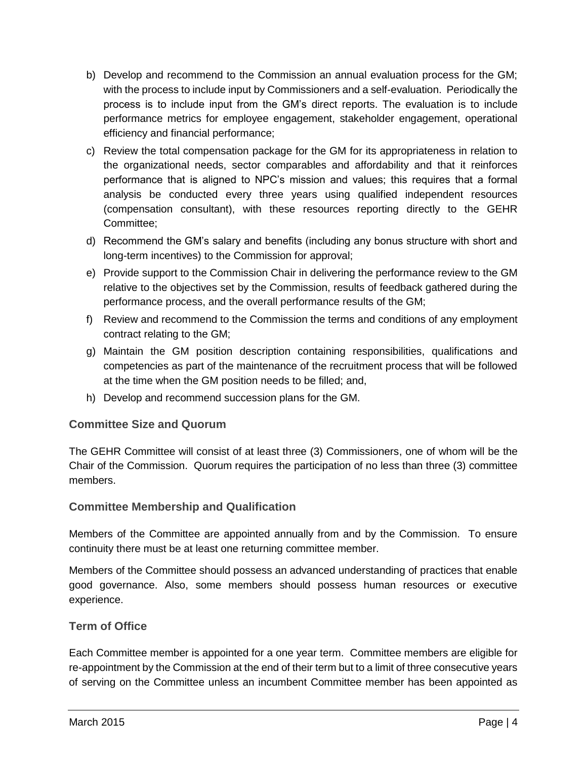- b) Develop and recommend to the Commission an annual evaluation process for the GM; with the process to include input by Commissioners and a self-evaluation. Periodically the process is to include input from the GM's direct reports. The evaluation is to include performance metrics for employee engagement, stakeholder engagement, operational efficiency and financial performance;
- c) Review the total compensation package for the GM for its appropriateness in relation to the organizational needs, sector comparables and affordability and that it reinforces performance that is aligned to NPC's mission and values; this requires that a formal analysis be conducted every three years using qualified independent resources (compensation consultant), with these resources reporting directly to the GEHR Committee;
- d) Recommend the GM's salary and benefits (including any bonus structure with short and long-term incentives) to the Commission for approval;
- e) Provide support to the Commission Chair in delivering the performance review to the GM relative to the objectives set by the Commission, results of feedback gathered during the performance process, and the overall performance results of the GM;
- f) Review and recommend to the Commission the terms and conditions of any employment contract relating to the GM;
- g) Maintain the GM position description containing responsibilities, qualifications and competencies as part of the maintenance of the recruitment process that will be followed at the time when the GM position needs to be filled; and,
- h) Develop and recommend succession plans for the GM.

# **Committee Size and Quorum**

The GEHR Committee will consist of at least three (3) Commissioners, one of whom will be the Chair of the Commission. Quorum requires the participation of no less than three (3) committee members.

## **Committee Membership and Qualification**

Members of the Committee are appointed annually from and by the Commission. To ensure continuity there must be at least one returning committee member.

Members of the Committee should possess an advanced understanding of practices that enable good governance. Also, some members should possess human resources or executive experience.

## **Term of Office**

Each Committee member is appointed for a one year term. Committee members are eligible for re-appointment by the Commission at the end of their term but to a limit of three consecutive years of serving on the Committee unless an incumbent Committee member has been appointed as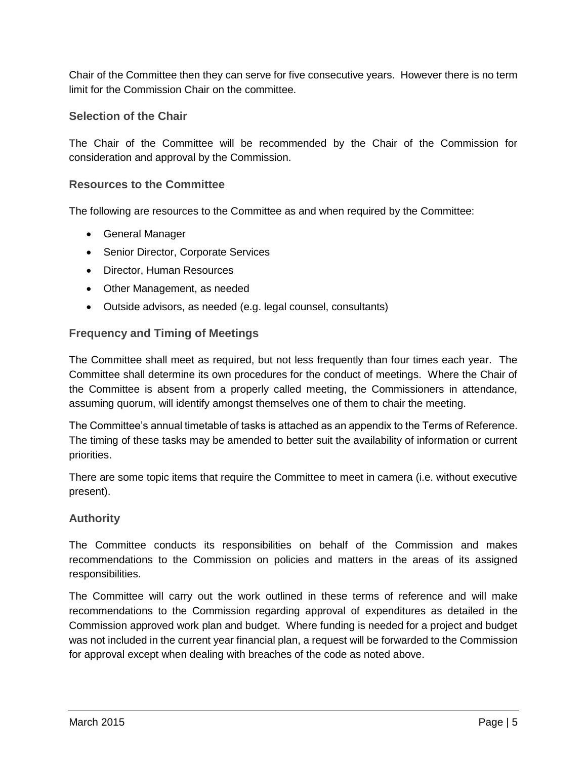Chair of the Committee then they can serve for five consecutive years. However there is no term limit for the Commission Chair on the committee.

#### **Selection of the Chair**

The Chair of the Committee will be recommended by the Chair of the Commission for consideration and approval by the Commission.

#### **Resources to the Committee**

The following are resources to the Committee as and when required by the Committee:

- General Manager
- Senior Director, Corporate Services
- Director, Human Resources
- Other Management, as needed
- Outside advisors, as needed (e.g. legal counsel, consultants)

#### **Frequency and Timing of Meetings**

The Committee shall meet as required, but not less frequently than four times each year. The Committee shall determine its own procedures for the conduct of meetings. Where the Chair of the Committee is absent from a properly called meeting, the Commissioners in attendance, assuming quorum, will identify amongst themselves one of them to chair the meeting.

The Committee's annual timetable of tasks is attached as an appendix to the Terms of Reference. The timing of these tasks may be amended to better suit the availability of information or current priorities.

There are some topic items that require the Committee to meet in camera (i.e. without executive present).

#### **Authority**

The Committee conducts its responsibilities on behalf of the Commission and makes recommendations to the Commission on policies and matters in the areas of its assigned responsibilities.

The Committee will carry out the work outlined in these terms of reference and will make recommendations to the Commission regarding approval of expenditures as detailed in the Commission approved work plan and budget. Where funding is needed for a project and budget was not included in the current year financial plan, a request will be forwarded to the Commission for approval except when dealing with breaches of the code as noted above.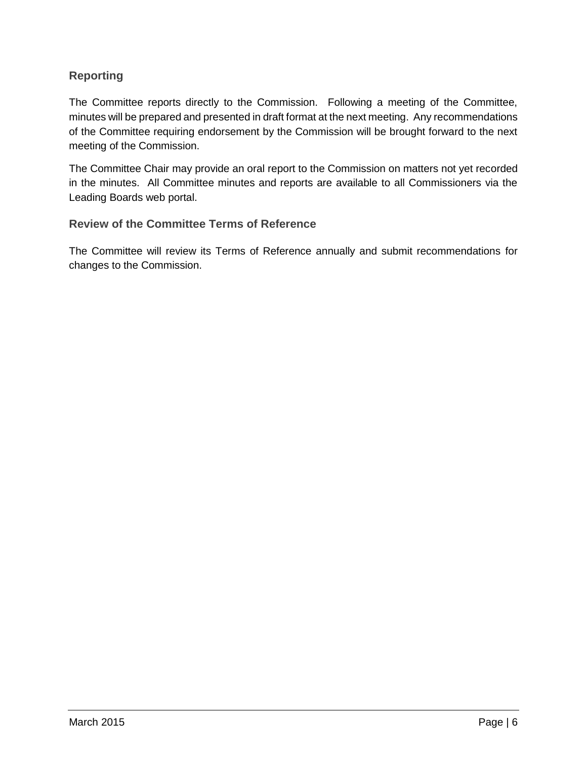# **Reporting**

The Committee reports directly to the Commission. Following a meeting of the Committee, minutes will be prepared and presented in draft format at the next meeting. Any recommendations of the Committee requiring endorsement by the Commission will be brought forward to the next meeting of the Commission.

The Committee Chair may provide an oral report to the Commission on matters not yet recorded in the minutes. All Committee minutes and reports are available to all Commissioners via the Leading Boards web portal.

## **Review of the Committee Terms of Reference**

The Committee will review its Terms of Reference annually and submit recommendations for changes to the Commission.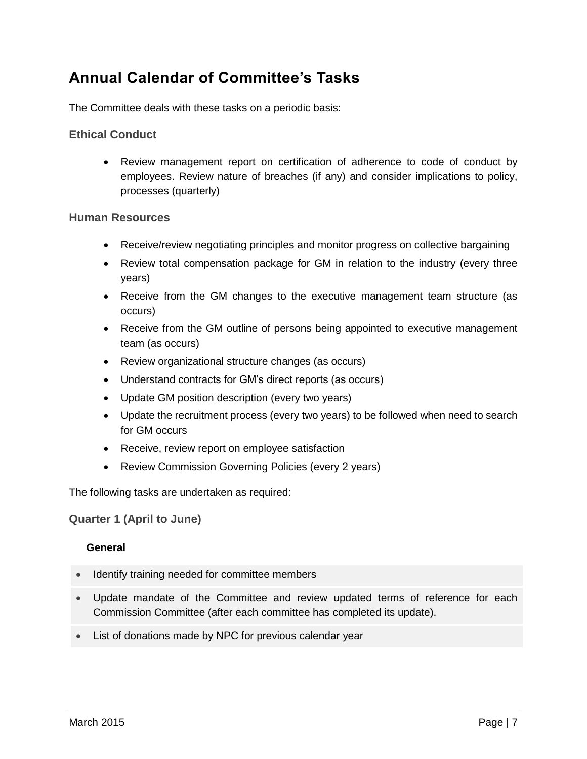# **Annual Calendar of Committee's Tasks**

The Committee deals with these tasks on a periodic basis:

## **Ethical Conduct**

 Review management report on certification of adherence to code of conduct by employees. Review nature of breaches (if any) and consider implications to policy, processes (quarterly)

#### **Human Resources**

- Receive/review negotiating principles and monitor progress on collective bargaining
- Review total compensation package for GM in relation to the industry (every three years)
- Receive from the GM changes to the executive management team structure (as occurs)
- Receive from the GM outline of persons being appointed to executive management team (as occurs)
- Review organizational structure changes (as occurs)
- Understand contracts for GM's direct reports (as occurs)
- Update GM position description (every two years)
- Update the recruitment process (every two years) to be followed when need to search for GM occurs
- Receive, review report on employee satisfaction
- Review Commission Governing Policies (every 2 years)

The following tasks are undertaken as required:

**Quarter 1 (April to June)** 

#### **General**

- Identify training needed for committee members
- Update mandate of the Committee and review updated terms of reference for each Commission Committee (after each committee has completed its update).
- List of donations made by NPC for previous calendar year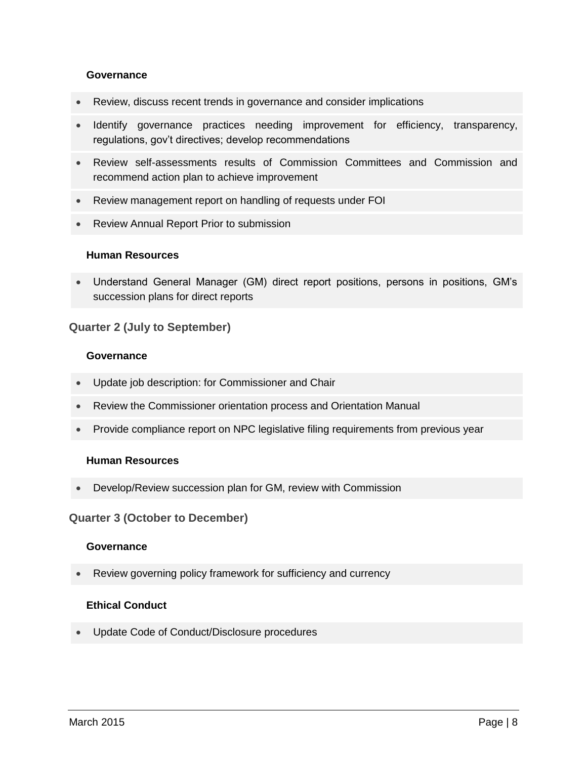#### **Governance**

- Review, discuss recent trends in governance and consider implications
- Identify governance practices needing improvement for efficiency, transparency, regulations, gov't directives; develop recommendations
- Review self-assessments results of Commission Committees and Commission and recommend action plan to achieve improvement
- Review management report on handling of requests under FOI
- Review Annual Report Prior to submission

#### **Human Resources**

 Understand General Manager (GM) direct report positions, persons in positions, GM's succession plans for direct reports

#### **Quarter 2 (July to September)**

#### **Governance**

- Update job description: for Commissioner and Chair
- Review the Commissioner orientation process and Orientation Manual
- Provide compliance report on NPC legislative filing requirements from previous year

#### **Human Resources**

Develop/Review succession plan for GM, review with Commission

#### **Quarter 3 (October to December)**

#### **Governance**

Review governing policy framework for sufficiency and currency

#### **Ethical Conduct**

Update Code of Conduct/Disclosure procedures